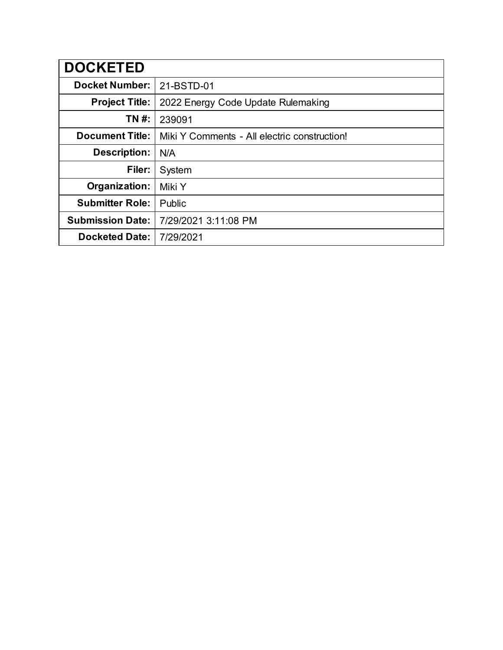| <b>DOCKETED</b>         |                                              |
|-------------------------|----------------------------------------------|
| <b>Docket Number:</b>   | 21-BSTD-01                                   |
| <b>Project Title:</b>   | 2022 Energy Code Update Rulemaking           |
| TN #:                   | 239091                                       |
| <b>Document Title:</b>  | Miki Y Comments - All electric construction! |
| <b>Description:</b>     | N/A                                          |
| Filer:                  | System                                       |
| Organization:           | Miki Y                                       |
| <b>Submitter Role:</b>  | Public                                       |
| <b>Submission Date:</b> | 7/29/2021 3:11:08 PM                         |
| <b>Docketed Date:</b>   | 7/29/2021                                    |